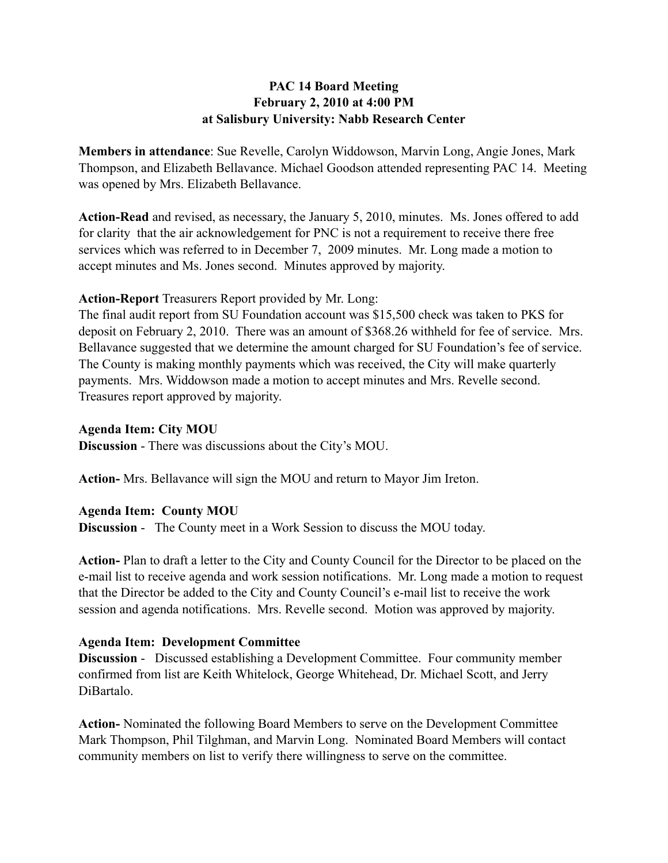# **PAC 14 Board Meeting February 2, 2010 at 4:00 PM at Salisbury University: Nabb Research Center**

**Members in attendance**: Sue Revelle, Carolyn Widdowson, Marvin Long, Angie Jones, Mark Thompson, and Elizabeth Bellavance. Michael Goodson attended representing PAC 14. Meeting was opened by Mrs. Elizabeth Bellavance.

**Action-Read** and revised, as necessary, the January 5, 2010, minutes. Ms. Jones offered to add for clarity that the air acknowledgement for PNC is not a requirement to receive there free services which was referred to in December 7, 2009 minutes. Mr. Long made a motion to accept minutes and Ms. Jones second. Minutes approved by majority.

## **Action-Report** Treasurers Report provided by Mr. Long:

The final audit report from SU Foundation account was \$15,500 check was taken to PKS for deposit on February 2, 2010. There was an amount of \$368.26 withheld for fee of service. Mrs. Bellavance suggested that we determine the amount charged for SU Foundation's fee of service. The County is making monthly payments which was received, the City will make quarterly payments. Mrs. Widdowson made a motion to accept minutes and Mrs. Revelle second. Treasures report approved by majority.

### **Agenda Item: City MOU**

**Discussion** - There was discussions about the City's MOU.

**Action-** Mrs. Bellavance will sign the MOU and return to Mayor Jim Ireton.

## **Agenda Item: County MOU**

**Discussion** - The County meet in a Work Session to discuss the MOU today.

**Action-** Plan to draft a letter to the City and County Council for the Director to be placed on the e-mail list to receive agenda and work session notifications. Mr. Long made a motion to request that the Director be added to the City and County Council's e-mail list to receive the work session and agenda notifications. Mrs. Revelle second. Motion was approved by majority.

## **Agenda Item: Development Committee**

**Discussion** - Discussed establishing a Development Committee. Four community member confirmed from list are Keith Whitelock, George Whitehead, Dr. Michael Scott, and Jerry DiBartalo.

**Action-** Nominated the following Board Members to serve on the Development Committee Mark Thompson, Phil Tilghman, and Marvin Long. Nominated Board Members will contact community members on list to verify there willingness to serve on the committee.